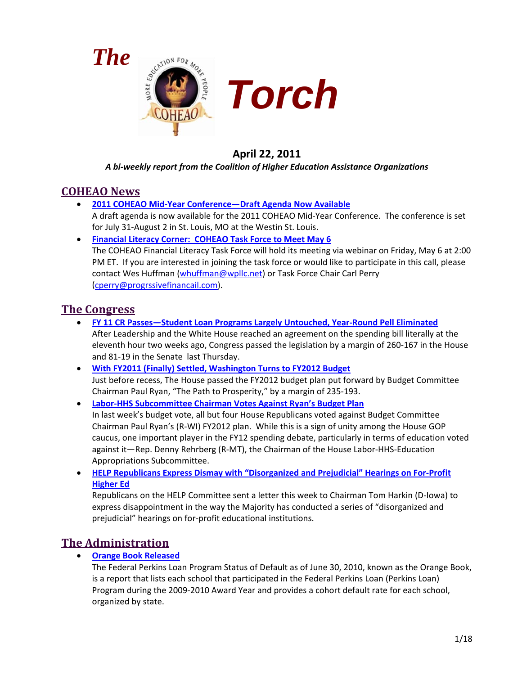



# **April 22, 2011**

#### *A bi-weekly report from the Coalition of Higher Education Assistance Organizations*

## **COHEAO News**

• **[2011 COHEAO Mid-Year Conference—Draft Agenda Now Available](#page-2-0)**

A draft agenda is now available for the 2011 COHEAO Mid-Year Conference. The conference is set for July 31-August 2 in St. Louis, MO at the Westin St. Louis.

• **[Financial Literacy Corner: COHEAO Task Force to Meet May 6](#page-2-1)** The COHEAO Financial Literacy Task Force will hold its meeting via webinar on Friday, May 6 at 2:00 PM ET. If you are interested in joining the task force or would like to participate in this call, please contact Wes Huffman [\(whuffman@wpllc.net\)](mailto:whuffman@wpllc.net) or Task Force Chair Carl Perry [\(cperry@progrssivefinancail.com\)](mailto:cperry@progrssivefinancail.com).

## **The Congress**

- **[FY 11 CR Passes—Student Loan Programs Largely Untouched, Year-Round Pell Eliminated](#page-2-2)** After Leadership and the White House reached an agreement on the spending bill literally at the eleventh hour two weeks ago, Congress passed the legislation by a margin of 260-167 in the House and 81-19 in the Senate last Thursday.
- **[With FY2011 \(Finally\) Settled, Washington Turns to FY2012 Budget](#page-4-0)** Just before recess, The House passed the FY2012 budget plan put forward by Budget Committee Chairman Paul Ryan, "The Path to Prosperity," by a margin of 235-193.
- **[Labor-HHS Subcommittee Chairman Votes Against Ryan's Budget Plan](#page-5-0)** In last week's budget vote, all but four House Republicans voted against Budget Committee Chairman Paul Ryan's (R-WI) FY2012 plan. While this is a sign of unity among the House GOP caucus, one important player in the FY12 spending debate, particularly in terms of education voted against it—Rep. Denny Rehrberg (R-MT), the Chairman of the House Labor-HHS-Education Appropriations Subcommittee.
- **[HELP Republicans Express Dismay with "Disorganized and Prejudicial" Hearings on For-Profit](#page-5-1)  [Higher Ed](#page-5-1)**

Republicans on the HELP Committee sent a letter this week to Chairman Tom Harkin (D-Iowa) to express disappointment in the way the Majority has conducted a series of "disorganized and prejudicial" hearings on for-profit educational institutions.

# **The Administration**

• **[Orange Book Released](#page-6-0)**

The Federal Perkins Loan Program Status of Default as of June 30, 2010, known as the Orange Book, is a report that lists each school that participated in the Federal Perkins Loan (Perkins Loan) Program during the 2009-2010 Award Year and provides a cohort default rate for each school, organized by state.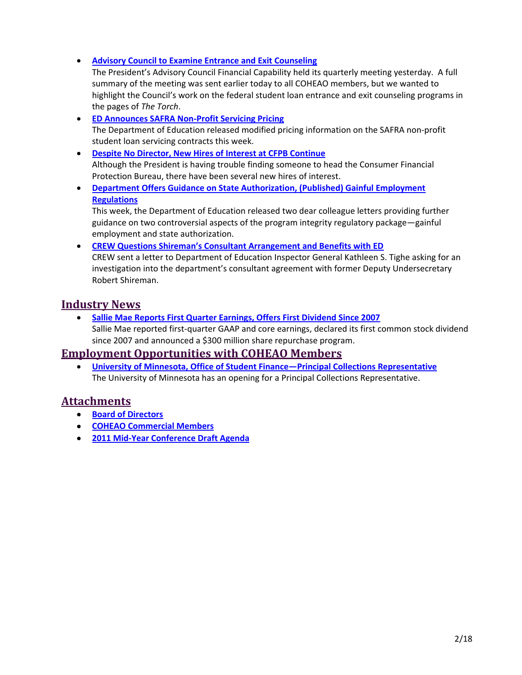• **[Advisory Council to Examine Entrance and Exit Counseling](#page-6-1)**

The President's Advisory Council Financial Capability held its quarterly meeting yesterday. A full summary of the meeting was sent earlier today to all COHEAO members, but we wanted to highlight the Council's work on the federal student loan entrance and exit counseling programs in the pages of *The Torch*.

- **[ED Announces SAFRA Non-Profit Servicing Pricing](#page-7-0)** The Department of Education released modified pricing information on the SAFRA non-profit student loan servicing contracts this week.
- **[Despite No Director, New Hires of Interest at CFPB Continue](#page-8-0)** Although the President is having trouble finding someone to head the Consumer Financial Protection Bureau, there have been several new hires of interest.
- **Department Offers [Guidance on State Authorization, \(Published\) Gainful Employment](#page-9-0)  [Regulations](#page-9-0)**

This week, the Department of Education released two dear colleague letters providing further guidance on two controversial aspects of the program integrity regulatory package—gainful employment and state authorization.

• **[CREW Questions Shireman's Consultant Arrangement and Benefits with ED](#page-9-1)** CREW sent a letter to Department of Education Inspector General Kathleen S. Tighe asking for an investigation into the department's consultant agreement with former Deputy Undersecretary Robert Shireman.

## **Industry News**

• **[Sallie Mae Reports First Quarter Earnings, Offers First Dividend Since 2007](#page-10-0)** Sallie Mae reported first-quarter GAAP and core earnings, declared its first common stock dividend since 2007 and announced a \$300 million share repurchase program.

## **Employment Opportunities with COHEAO Members**

• **[University of Minnesota, Office of Student Finance—Principal Collections Representative](#page-11-0)** The University of Minnesota has an opening for a Principal Collections Representative.

## **Attachments**

- **[Board of Directors](#page-12-0)**
- **[COHEAO Commercial Members](#page-14-0)**
- **[2011 Mid-Year Conference Draft Agenda](#page-15-0)**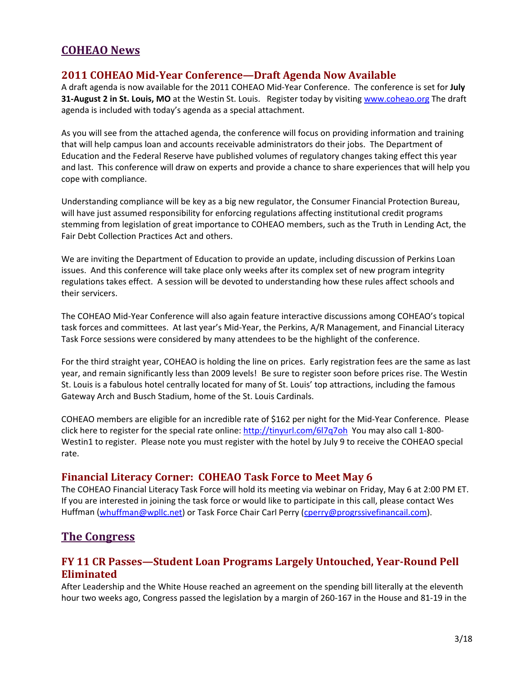## **COHEAO News**

#### <span id="page-2-0"></span>**2011 COHEAO Mid-Year Conference—Draft Agenda Now Available**

A draft agenda is now available for the 2011 COHEAO Mid-Year Conference. The conference is set for **July 31-August 2 in St. Louis, MO** at the Westin St. Louis. Register today by visiting [www.coheao.org](http://www.coheao.org/) The draft agenda is included with today's agenda as a special attachment.

As you will see from the attached agenda, the conference will focus on providing information and training that will help campus loan and accounts receivable administrators do their jobs. The Department of Education and the Federal Reserve have published volumes of regulatory changes taking effect this year and last. This conference will draw on experts and provide a chance to share experiences that will help you cope with compliance.

Understanding compliance will be key as a big new regulator, the Consumer Financial Protection Bureau, will have just assumed responsibility for enforcing regulations affecting institutional credit programs stemming from legislation of great importance to COHEAO members, such as the Truth in Lending Act, the Fair Debt Collection Practices Act and others.

We are inviting the Department of Education to provide an update, including discussion of Perkins Loan issues. And this conference will take place only weeks after its complex set of new program integrity regulations takes effect. A session will be devoted to understanding how these rules affect schools and their servicers.

The COHEAO Mid-Year Conference will also again feature interactive discussions among COHEAO's topical task forces and committees. At last year's Mid-Year, the Perkins, A/R Management, and Financial Literacy Task Force sessions were considered by many attendees to be the highlight of the conference.

For the third straight year, COHEAO is holding the line on prices. Early registration fees are the same as last year, and remain significantly less than 2009 levels! Be sure to register soon before prices rise. The Westin St. Louis is a fabulous hotel centrally located for many of St. Louis' top attractions, including the famous Gateway Arch and Busch Stadium, home of the St. Louis Cardinals.

COHEAO members are eligible for an incredible rate of \$162 per night for the Mid-Year Conference. Please click here to register for the special rate online[: http://tinyurl.com/6l7q7oh](http://tinyurl.com/6l7q7oh) You may also call 1-800- Westin1 to register. Please note you must register with the hotel by July 9 to receive the COHEAO special rate.

#### <span id="page-2-1"></span>**Financial Literacy Corner: COHEAO Task Force to Meet May 6**

The COHEAO Financial Literacy Task Force will hold its meeting via webinar on Friday, May 6 at 2:00 PM ET. If you are interested in joining the task force or would like to participate in this call, please contact Wes Huffman [\(whuffman@wpllc.net\)](mailto:whuffman@wpllc.net) or Task Force Chair Carl Perry [\(cperry@progrssivefinancail.com\)](mailto:cperry@progrssivefinancail.com).

#### **The Congress**

### <span id="page-2-2"></span>**FY 11 CR Passes—Student Loan Programs Largely Untouched, Year-Round Pell Eliminated**

After Leadership and the White House reached an agreement on the spending bill literally at the eleventh hour two weeks ago, Congress passed the legislation by a margin of 260-167 in the House and 81-19 in the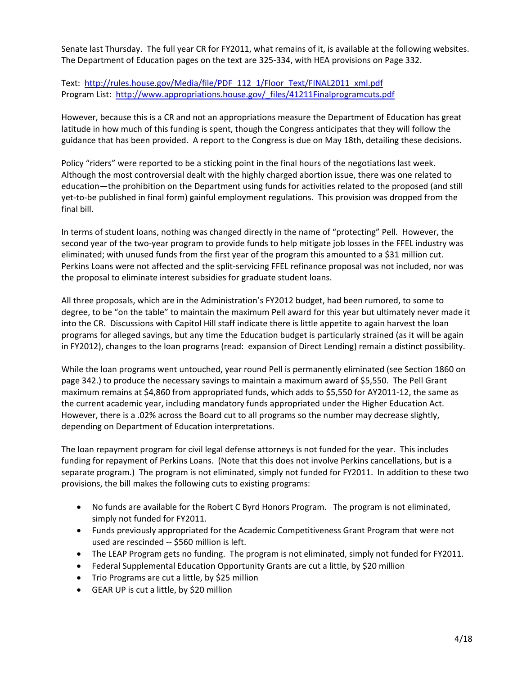Senate last Thursday. The full year CR for FY2011, what remains of it, is available at the following websites. The Department of Education pages on the text are 325-334, with HEA provisions on Page 332.

Text: [http://rules.house.gov/Media/file/PDF\\_112\\_1/Floor\\_Text/FINAL2011\\_xml.pdf](http://rules.house.gov/Media/file/PDF_112_1/Floor_Text/FINAL2011_xml.pdf) Program List: [http://www.appropriations.house.gov/\\_files/41211Finalprogramcuts.pdf](http://www.appropriations.house.gov/_files/41211Finalprogramcuts.pdf)

However, because this is a CR and not an appropriations measure the Department of Education has great latitude in how much of this funding is spent, though the Congress anticipates that they will follow the guidance that has been provided. A report to the Congress is due on May 18th, detailing these decisions.

Policy "riders" were reported to be a sticking point in the final hours of the negotiations last week. Although the most controversial dealt with the highly charged abortion issue, there was one related to education—the prohibition on the Department using funds for activities related to the proposed (and still yet-to-be published in final form) gainful employment regulations. This provision was dropped from the final bill.

In terms of student loans, nothing was changed directly in the name of "protecting" Pell. However, the second year of the two-year program to provide funds to help mitigate job losses in the FFEL industry was eliminated; with unused funds from the first year of the program this amounted to a \$31 million cut. Perkins Loans were not affected and the split-servicing FFEL refinance proposal was not included, nor was the proposal to eliminate interest subsidies for graduate student loans.

All three proposals, which are in the Administration's FY2012 budget, had been rumored, to some to degree, to be "on the table" to maintain the maximum Pell award for this year but ultimately never made it into the CR. Discussions with Capitol Hill staff indicate there is little appetite to again harvest the loan programs for alleged savings, but any time the Education budget is particularly strained (as it will be again in FY2012), changes to the loan programs (read: expansion of Direct Lending) remain a distinct possibility.

While the loan programs went untouched, year round Pell is permanently eliminated (see Section 1860 on page 342.) to produce the necessary savings to maintain a maximum award of \$5,550. The Pell Grant maximum remains at \$4,860 from appropriated funds, which adds to \$5,550 for AY2011-12, the same as the current academic year, including mandatory funds appropriated under the Higher Education Act. However, there is a .02% across the Board cut to all programs so the number may decrease slightly, depending on Department of Education interpretations.

The loan repayment program for civil legal defense attorneys is not funded for the year. This includes funding for repayment of Perkins Loans. (Note that this does not involve Perkins cancellations, but is a separate program.) The program is not eliminated, simply not funded for FY2011. In addition to these two provisions, the bill makes the following cuts to existing programs:

- No funds are available for the Robert C Byrd Honors Program. The program is not eliminated, simply not funded for FY2011.
- Funds previously appropriated for the Academic Competitiveness Grant Program that were not used are rescinded -- \$560 million is left.
- The LEAP Program gets no funding. The program is not eliminated, simply not funded for FY2011.
- Federal Supplemental Education Opportunity Grants are cut a little, by \$20 million
- Trio Programs are cut a little, by \$25 million
- GEAR UP is cut a little, by \$20 million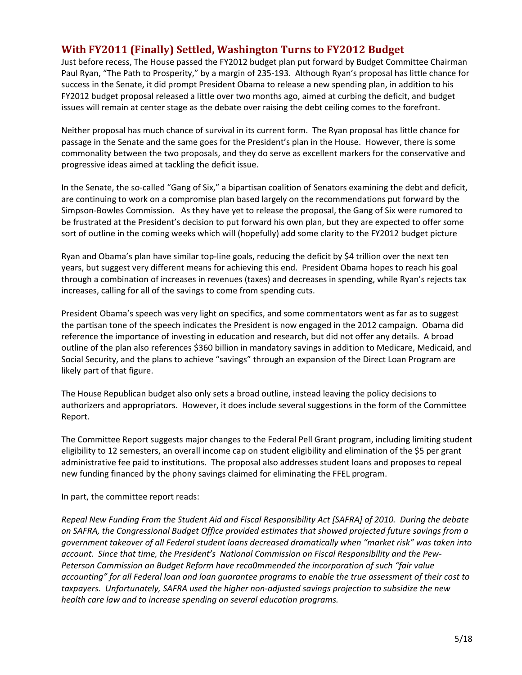### <span id="page-4-0"></span>**With FY2011 (Finally) Settled, Washington Turns to FY2012 Budget**

Just before recess, The House passed the FY2012 budget plan put forward by Budget Committee Chairman Paul Ryan, "The Path to Prosperity," by a margin of 235-193. Although Ryan's proposal has little chance for success in the Senate, it did prompt President Obama to release a new spending plan, in addition to his FY2012 budget proposal released a little over two months ago, aimed at curbing the deficit, and budget issues will remain at center stage as the debate over raising the debt ceiling comes to the forefront.

Neither proposal has much chance of survival in its current form. The Ryan proposal has little chance for passage in the Senate and the same goes for the President's plan in the House. However, there is some commonality between the two proposals, and they do serve as excellent markers for the conservative and progressive ideas aimed at tackling the deficit issue.

In the Senate, the so-called "Gang of Six," a bipartisan coalition of Senators examining the debt and deficit, are continuing to work on a compromise plan based largely on the recommendations put forward by the Simpson-Bowles Commission. As they have yet to release the proposal, the Gang of Six were rumored to be frustrated at the President's decision to put forward his own plan, but they are expected to offer some sort of outline in the coming weeks which will (hopefully) add some clarity to the FY2012 budget picture

Ryan and Obama's plan have similar top-line goals, reducing the deficit by \$4 trillion over the next ten years, but suggest very different means for achieving this end. President Obama hopes to reach his goal through a combination of increases in revenues (taxes) and decreases in spending, while Ryan's rejects tax increases, calling for all of the savings to come from spending cuts.

President Obama's speech was very light on specifics, and some commentators went as far as to suggest the partisan tone of the speech indicates the President is now engaged in the 2012 campaign. Obama did reference the importance of investing in education and research, but did not offer any details. A broad outline of the plan also references \$360 billion in mandatory savings in addition to Medicare, Medicaid, and Social Security, and the plans to achieve "savings" through an expansion of the Direct Loan Program are likely part of that figure.

The House Republican budget also only sets a broad outline, instead leaving the policy decisions to authorizers and appropriators. However, it does include several suggestions in the form of the Committee Report.

The Committee Report suggests major changes to the Federal Pell Grant program, including limiting student eligibility to 12 semesters, an overall income cap on student eligibility and elimination of the \$5 per grant administrative fee paid to institutions. The proposal also addresses student loans and proposes to repeal new funding financed by the phony savings claimed for eliminating the FFEL program.

In part, the committee report reads:

*Repeal New Funding From the Student Aid and Fiscal Responsibility Act [SAFRA] of 2010. During the debate on SAFRA, the Congressional Budget Office provided estimates that showed projected future savings from a government takeover of all Federal student loans decreased dramatically when "market risk" was taken into account. Since that time, the President's National Commission on Fiscal Responsibility and the Pew-Peterson Commission on Budget Reform have reco0mmended the incorporation of such "fair value accounting" for all Federal loan and loan guarantee programs to enable the true assessment of their cost to taxpayers. Unfortunately, SAFRA used the higher non-adjusted savings projection to subsidize the new health care law and to increase spending on several education programs.*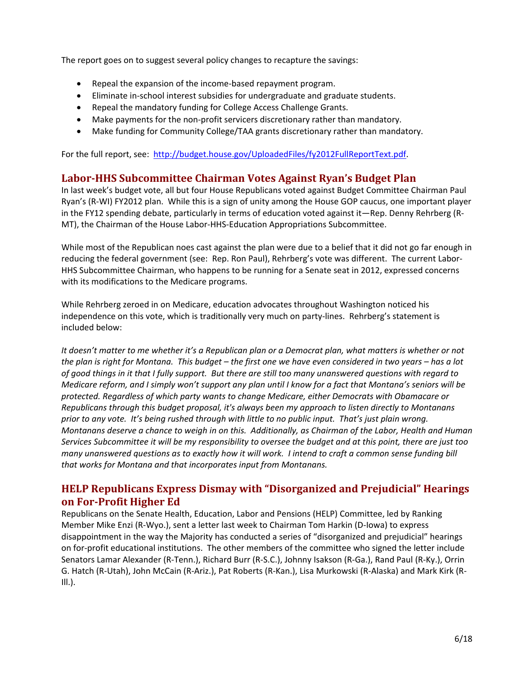The report goes on to suggest several policy changes to recapture the savings:

- Repeal the expansion of the income-based repayment program.
- Eliminate in-school interest subsidies for undergraduate and graduate students.
- Repeal the mandatory funding for College Access Challenge Grants.
- Make payments for the non-profit servicers discretionary rather than mandatory.
- Make funding for Community College/TAA grants discretionary rather than mandatory.

For the full report, see: [http://budget.house.gov/UploadedFiles/fy2012FullReportText.pdf.](http://budget.house.gov/UploadedFiles/fy2012FullReportText.pdf)

#### <span id="page-5-0"></span>**Labor-HHS Subcommittee Chairman Votes Against Ryan's Budget Plan**

In last week's budget vote, all but four House Republicans voted against Budget Committee Chairman Paul Ryan's (R-WI) FY2012 plan. While this is a sign of unity among the House GOP caucus, one important player in the FY12 spending debate, particularly in terms of education voted against it—Rep. Denny Rehrberg (R-MT), the Chairman of the House Labor-HHS-Education Appropriations Subcommittee.

While most of the Republican noes cast against the plan were due to a belief that it did not go far enough in reducing the federal government (see: Rep. Ron Paul), Rehrberg's vote was different. The current Labor-HHS Subcommittee Chairman, who happens to be running for a Senate seat in 2012, expressed concerns with its modifications to the Medicare programs.

While Rehrberg zeroed in on Medicare, education advocates throughout Washington noticed his independence on this vote, which is traditionally very much on party-lines. Rehrberg's statement is included below:

*It doesn't matter to me whether it's a Republican plan or a Democrat plan, what matters is whether or not the plan is right for Montana. This budget – the first one we have even considered in two years – has a lot of good things in it that I fully support. But there are still too many unanswered questions with regard to Medicare reform, and I simply won't support any plan until I know for a fact that Montana's seniors will be protected. Regardless of which party wants to change Medicare, either Democrats with Obamacare or Republicans through this budget proposal, it's always been my approach to listen directly to Montanans prior to any vote. It's being rushed through with little to no public input. That's just plain wrong. Montanans deserve a chance to weigh in on this. Additionally, as Chairman of the Labor, Health and Human Services Subcommittee it will be my responsibility to oversee the budget and at this point, there are just too many unanswered questions as to exactly how it will work. I intend to craft a common sense funding bill that works for Montana and that incorporates input from Montanans.*

### <span id="page-5-1"></span>**HELP Republicans Express Dismay with "Disorganized and Prejudicial" Hearings on For-Profit Higher Ed**

Republicans on the Senate Health, Education, Labor and Pensions (HELP) Committee, led by Ranking Member Mike Enzi (R-Wyo.), sent a letter last week to Chairman Tom Harkin (D-Iowa) to express disappointment in the way the Majority has conducted a series of "disorganized and prejudicial" hearings on for-profit educational institutions. The other members of the committee who signed the letter include Senators Lamar Alexander (R-Tenn.), Richard Burr (R-S.C.), Johnny Isakson (R-Ga.), Rand Paul (R-Ky.), Orrin G. Hatch (R-Utah), John McCain (R-Ariz.), Pat Roberts (R-Kan.), Lisa Murkowski (R-Alaska) and Mark Kirk (R- $III.$ ).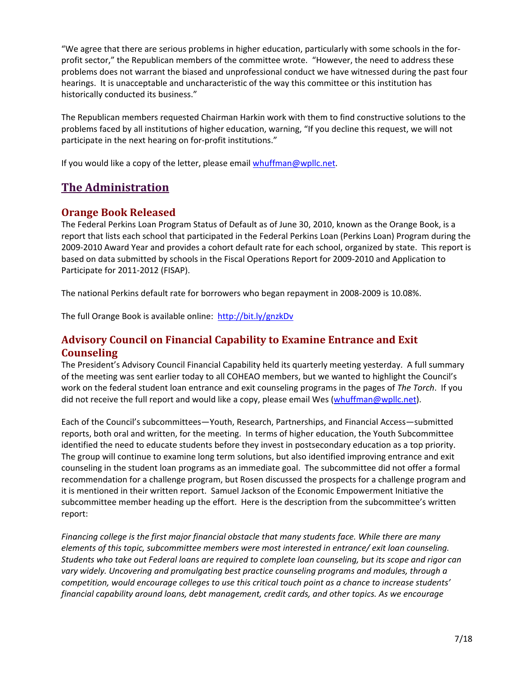"We agree that there are serious problems in higher education, particularly with some schools in the forprofit sector," the Republican members of the committee wrote. "However, the need to address these problems does not warrant the biased and unprofessional conduct we have witnessed during the past four hearings. It is unacceptable and uncharacteristic of the way this committee or this institution has historically conducted its business."

The Republican members requested Chairman Harkin work with them to find constructive solutions to the problems faced by all institutions of higher education, warning, "If you decline this request, we will not participate in the next hearing on for-profit institutions."

If you would like a copy of the letter, please emai[l whuffman@wpllc.net.](mailto:whuffman@wpllc.net)

## **The Administration**

### <span id="page-6-0"></span>**Orange Book Released**

The Federal Perkins Loan Program Status of Default as of June 30, 2010, known as the Orange Book, is a report that lists each school that participated in the Federal Perkins Loan (Perkins Loan) Program during the 2009-2010 Award Year and provides a cohort default rate for each school, organized by state. This report is based on data submitted by schools in the Fiscal Operations Report for 2009-2010 and Application to Participate for 2011-2012 (FISAP).

The national Perkins default rate for borrowers who began repayment in 2008-2009 is 10.08%.

The full Orange Book is available online: <http://bit.ly/gnzkDv>

### <span id="page-6-1"></span>**Advisory Council on Financial Capability to Examine Entrance and Exit Counseling**

The President's Advisory Council Financial Capability held its quarterly meeting yesterday. A full summary of the meeting was sent earlier today to all COHEAO members, but we wanted to highlight the Council's work on the federal student loan entrance and exit counseling programs in the pages of *The Torch*. If you did not receive the full report and would like a copy, please email Wes [\(whuffman@wpllc.net\)](mailto:whuffman@wpllc.net).

Each of the Council's subcommittees—Youth, Research, Partnerships, and Financial Access—submitted reports, both oral and written, for the meeting. In terms of higher education, the Youth Subcommittee identified the need to educate students before they invest in postsecondary education as a top priority. The group will continue to examine long term solutions, but also identified improving entrance and exit counseling in the student loan programs as an immediate goal. The subcommittee did not offer a formal recommendation for a challenge program, but Rosen discussed the prospects for a challenge program and it is mentioned in their written report. Samuel Jackson of the Economic Empowerment Initiative the subcommittee member heading up the effort. Here is the description from the subcommittee's written report:

*Financing college is the first major financial obstacle that many students face. While there are many elements of this topic, subcommittee members were most interested in entrance/ exit loan counseling. Students who take out Federal loans are required to complete loan counseling, but its scope and rigor can vary widely. Uncovering and promulgating best practice counseling programs and modules, through a competition, would encourage colleges to use this critical touch point as a chance to increase students' financial capability around loans, debt management, credit cards, and other topics. As we encourage*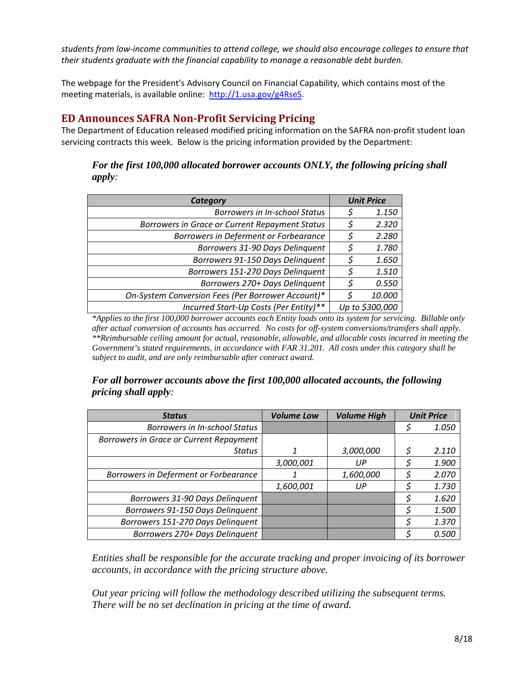*students from low-income communities to attend college, we should also encourage colleges to ensure that their students graduate with the financial capability to manage a reasonable debt burden.*

The webpage for the President's Advisory Council on Financial Capability, which contains most of the meeting materials, is available online: [http://1.usa.gov/g4RseS.](http://1.usa.gov/g4RseS)

### <span id="page-7-0"></span>**ED Announces SAFRA Non-Profit Servicing Pricing**

The Department of Education released modified pricing information on the SAFRA non-profit student loan servicing contracts this week. Below is the pricing information provided by the Department:

#### *For the first 100,000 allocated borrower accounts ONLY, the following pricing shall apply:*

| Category                                          |   | <b>Unit Price</b> |  |
|---------------------------------------------------|---|-------------------|--|
| <b>Borrowers in In-school Status</b>              |   | 1.150             |  |
| Borrowers in Grace or Current Repayment Status    |   | 2.320             |  |
| Borrowers in Deferment or Forbearance             | Ş | 2.280             |  |
| Borrowers 31-90 Days Delinquent                   |   | 1.780             |  |
| Borrowers 91-150 Days Delinquent                  |   | 1.650             |  |
| Borrowers 151-270 Days Delinquent                 |   | 1.510             |  |
| Borrowers 270+ Days Delinquent                    |   | 0.550             |  |
| On-System Conversion Fees (Per Borrower Account)* |   | 10.000            |  |
| Incurred Start-Up Costs (Per Entity)**            |   | Up to \$300,000   |  |

*\*Applies to the first 100,000 borrower accounts each Entity loads onto its system for servicing. Billable only after actual conversion of accounts has occurred. No costs for off-system conversions/transfers shall apply. \*\*Reimbursable ceiling amount for actual, reasonable, allowable, and allocable costs incurred in meeting the Government's stated requirements, in accordance with FAR 31.201. All costs under this category shall be subject to audit, and are only reimbursable after contract award.*

#### *For all borrower accounts above the first 100,000 allocated accounts, the following pricing shall apply:*

| <b>Status</b>                           | <b>Volume Low</b> | <b>Volume High</b> | <b>Unit Price</b> |
|-----------------------------------------|-------------------|--------------------|-------------------|
| <b>Borrowers in In-school Status</b>    |                   |                    | 1.050             |
| Borrowers in Grace or Current Repayment |                   |                    |                   |
| <b>Status</b>                           |                   | 3,000,000          | 2.110             |
|                                         | 3,000,001         | UР                 | 1.900             |
| Borrowers in Deferment or Forbearance   |                   | 1,600,000          | 2.070             |
|                                         | 1,600,001         | UР                 | 1.730             |
| Borrowers 31-90 Days Delinquent         |                   |                    | 1.620             |
| Borrowers 91-150 Days Delinquent        |                   |                    | 1.500             |
| Borrowers 151-270 Days Delinquent       |                   |                    | 1.370             |
| Borrowers 270+ Days Delinquent          |                   |                    | 0.500             |

*Entities shall be responsible for the accurate tracking and proper invoicing of its borrower accounts, in accordance with the pricing structure above.*

*Out year pricing will follow the methodology described utilizing the subsequent terms. There will be no set declination in pricing at the time of award.*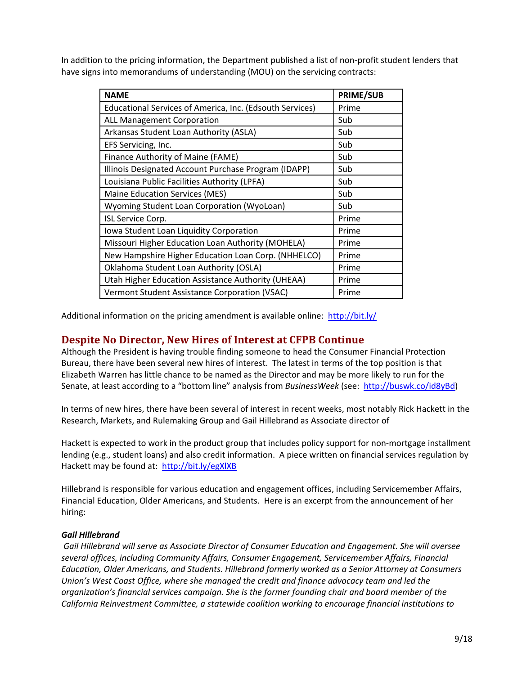In addition to the pricing information, the Department published a list of non-profit student lenders that have signs into memorandums of understanding (MOU) on the servicing contracts:

| <b>NAME</b>                                              | <b>PRIME/SUB</b> |
|----------------------------------------------------------|------------------|
| Educational Services of America, Inc. (Edsouth Services) | Prime            |
| <b>ALL Management Corporation</b>                        | Sub              |
| Arkansas Student Loan Authority (ASLA)                   | Sub              |
| EFS Servicing, Inc.                                      | Sub              |
| Finance Authority of Maine (FAME)                        | Sub              |
| Illinois Designated Account Purchase Program (IDAPP)     | Sub              |
| Louisiana Public Facilities Authority (LPFA)             | Sub              |
| <b>Maine Education Services (MES)</b>                    | Sub              |
| Wyoming Student Loan Corporation (WyoLoan)               | Sub              |
| ISL Service Corp.                                        | Prime            |
| Iowa Student Loan Liquidity Corporation                  | Prime            |
| Missouri Higher Education Loan Authority (MOHELA)        | Prime            |
| New Hampshire Higher Education Loan Corp. (NHHELCO)      | Prime            |
| Oklahoma Student Loan Authority (OSLA)                   | Prime            |
| Utah Higher Education Assistance Authority (UHEAA)       | Prime            |
| Vermont Student Assistance Corporation (VSAC)            | Prime            |

Additional information on the pricing amendment is available online: <http://bit.ly/>

#### <span id="page-8-0"></span>**Despite No Director, New Hires of Interest at CFPB Continue**

Although the President is having trouble finding someone to head the Consumer Financial Protection Bureau, there have been several new hires of interest. The latest in terms of the top position is that Elizabeth Warren has little chance to be named as the Director and may be more likely to run for the Senate, at least according to a "bottom line" analysis from *BusinessWeek* (see: [http://buswk.co/id8yBd\)](http://buswk.co/id8yBd)

In terms of new hires, there have been several of interest in recent weeks, most notably Rick Hackett in the Research, Markets, and Rulemaking Group and Gail Hillebrand as Associate director of

Hackett is expected to work in the product group that includes policy support for non-mortgage installment lending (e.g., student loans) and also credit information. A piece written on financial services regulation by Hackett may be found at: <http://bit.ly/egXlXB>

Hillebrand is responsible for various education and engagement offices, including Servicemember Affairs, Financial Education, Older Americans, and Students. Here is an excerpt from the announcement of her hiring:

#### *Gail Hillebrand*

*Gail Hillebrand will serve as Associate Director of Consumer Education and Engagement. She will oversee several offices, including Community Affairs, Consumer Engagement, Servicemember Affairs, Financial Education, Older Americans, and Students. Hillebrand formerly worked as a Senior Attorney at Consumers Union's West Coast Office, where she managed the credit and finance advocacy team and led the organization's financial services campaign. She is the former founding chair and board member of the California Reinvestment Committee, a statewide coalition working to encourage financial institutions to*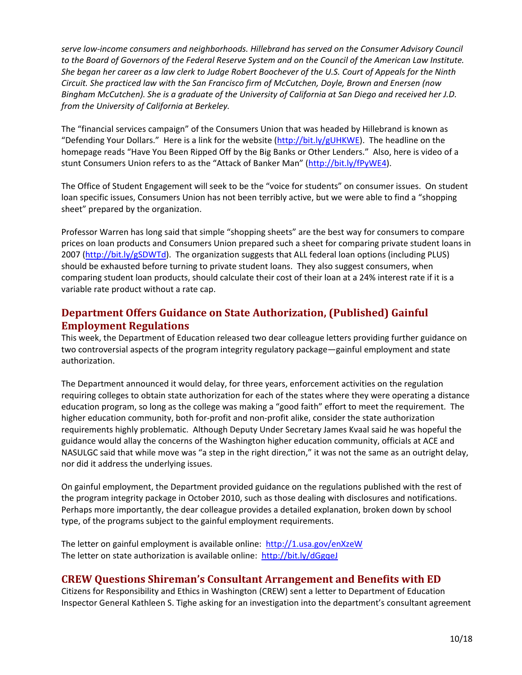*serve low-income consumers and neighborhoods. Hillebrand has served on the Consumer Advisory Council to the Board of Governors of the Federal Reserve System and on the Council of the American Law Institute. She began her career as a law clerk to Judge Robert Boochever of the U.S. Court of Appeals for the Ninth Circuit. She practiced law with the San Francisco firm of McCutchen, Doyle, Brown and Enersen (now Bingham McCutchen). She is a graduate of the University of California at San Diego and received her J.D. from the University of California at Berkeley.*

The "financial services campaign" of the Consumers Union that was headed by Hillebrand is known as "Defending Your Dollars." Here is a link for the website [\(http://bit.ly/gUHKWE\)](http://bit.ly/gUHKWE). The headline on the homepage reads "Have You Been Ripped Off by the Big Banks or Other Lenders." Also, here is video of a stunt Consumers Union refers to as the "Attack of Banker Man" [\(http://bit.ly/fPyWE4\)](http://bit.ly/fPyWE4).

The Office of Student Engagement will seek to be the "voice for students" on consumer issues. On student loan specific issues, Consumers Union has not been terribly active, but we were able to find a "shopping sheet" prepared by the organization.

Professor Warren has long said that simple "shopping sheets" are the best way for consumers to compare prices on loan products and Consumers Union prepared such a sheet for comparing private student loans in 2007 [\(http://bit.ly/gSDWTd\)](http://bit.ly/gSDWTd). The organization suggests that ALL federal loan options (including PLUS) should be exhausted before turning to private student loans. They also suggest consumers, when comparing student loan products, should calculate their cost of their loan at a 24% interest rate if it is a variable rate product without a rate cap.

## <span id="page-9-0"></span>**Department Offers Guidance on State Authorization, (Published) Gainful Employment Regulations**

This week, the Department of Education released two dear colleague letters providing further guidance on two controversial aspects of the program integrity regulatory package—gainful employment and state authorization.

The Department announced it would delay, for three years, enforcement activities on the regulation requiring colleges to obtain state authorization for each of the states where they were operating a distance education program, so long as the college was making a "good faith" effort to meet the requirement. The higher education community, both for-profit and non-profit alike, consider the state authorization requirements highly problematic. Although Deputy Under Secretary James Kvaal said he was hopeful the guidance would allay the concerns of the Washington higher education community, officials at ACE and NASULGC said that while move was "a step in the right direction," it was not the same as an outright delay, nor did it address the underlying issues.

On gainful employment, the Department provided guidance on the regulations published with the rest of the program integrity package in October 2010, such as those dealing with disclosures and notifications. Perhaps more importantly, the dear colleague provides a detailed explanation, broken down by school type, of the programs subject to the gainful employment requirements.

The letter on gainful employment is available online: <http://1.usa.gov/enXzeW> The letter on state authorization is available online: <http://bit.ly/dGgqeJ>

### <span id="page-9-1"></span>**CREW Questions Shireman's Consultant Arrangement and Benefits with ED**

Citizens for Responsibility and Ethics in Washington (CREW) sent a letter to Department of Education Inspector General Kathleen S. Tighe asking for an investigation into the department's consultant agreement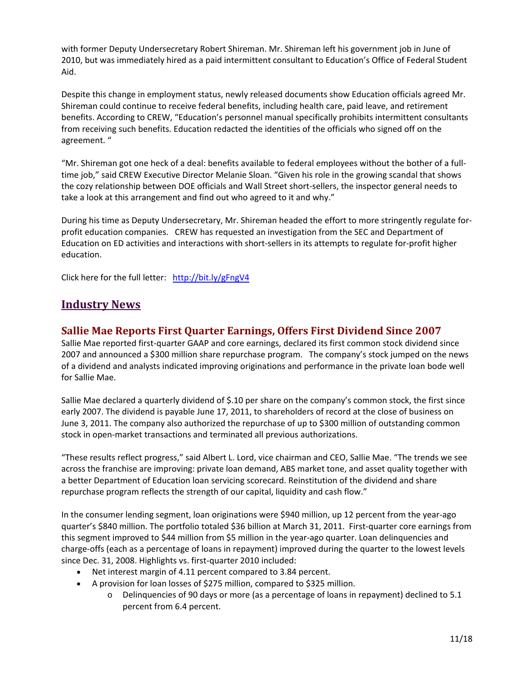with former Deputy Undersecretary Robert Shireman. Mr. Shireman left his government job in June of 2010, but was immediately hired as a paid intermittent consultant to Education's Office of Federal Student Aid.

Despite this change in employment status, newly released documents show Education officials agreed Mr. Shireman could continue to receive federal benefits, including health care, paid leave, and retirement benefits. According to CREW, "Education's personnel manual specifically prohibits intermittent consultants from receiving such benefits. Education redacted the identities of the officials who signed off on the agreement. "

"Mr. Shireman got one heck of a deal: benefits available to federal employees without the bother of a fulltime job," said CREW Executive Director Melanie Sloan. "Given his role in the growing scandal that shows the cozy relationship between DOE officials and Wall Street short-sellers, the inspector general needs to take a look at this arrangement and find out who agreed to it and why."

During his time as Deputy Undersecretary, Mr. Shireman headed the effort to more stringently regulate forprofit education companies. CREW has requested an investigation from the SEC and Department of Education on ED activities and interactions with short-sellers in its attempts to regulate for-profit higher education.

Click here for the full letter: <http://bit.ly/gFngV4>

## **Industry News**

### <span id="page-10-0"></span>**Sallie Mae Reports First Quarter Earnings, Offers First Dividend Since 2007**

Sallie Mae reported first-quarter GAAP and core earnings, declared its first common stock dividend since 2007 and announced a \$300 million share repurchase program. The company's stock jumped on the news of a dividend and analysts indicated improving originations and performance in the private loan bode well for Sallie Mae.

Sallie Mae declared a quarterly dividend of \$.10 per share on the company's common stock, the first since early 2007. The dividend is payable June 17, 2011, to shareholders of record at the close of business on June 3, 2011. The company also authorized the repurchase of up to \$300 million of outstanding common stock in open-market transactions and terminated all previous authorizations.

"These results reflect progress," said Albert L. Lord, vice chairman and CEO, Sallie Mae. "The trends we see across the franchise are improving: private loan demand, ABS market tone, and asset quality together with a better Department of Education loan servicing scorecard. Reinstitution of the dividend and share repurchase program reflects the strength of our capital, liquidity and cash flow."

In the consumer lending segment, loan originations were \$940 million, up 12 percent from the year-ago quarter's \$840 million. The portfolio totaled \$36 billion at March 31, 2011. First-quarter core earnings from this segment improved to \$44 million from \$5 million in the year-ago quarter. Loan delinquencies and charge-offs (each as a percentage of loans in repayment) improved during the quarter to the lowest levels since Dec. 31, 2008. Highlights vs. first-quarter 2010 included:

- Net interest margin of 4.11 percent compared to 3.84 percent.
- A provision for loan losses of \$275 million, compared to \$325 million.
	- o Delinquencies of 90 days or more (as a percentage of loans in repayment) declined to 5.1 percent from 6.4 percent.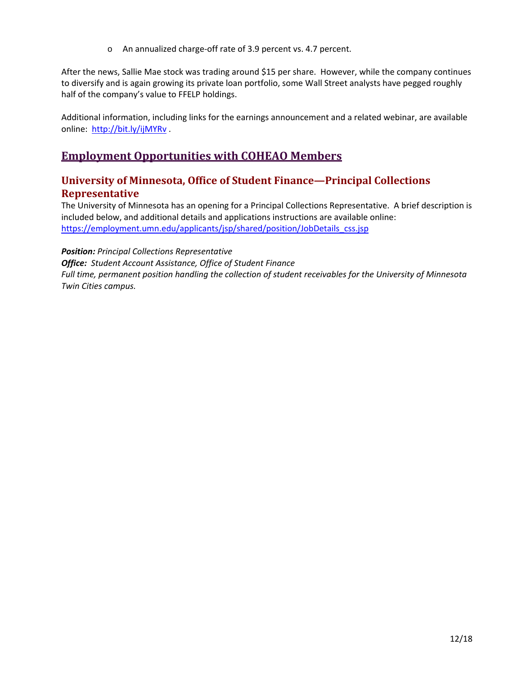o An annualized charge-off rate of 3.9 percent vs. 4.7 percent.

After the news, Sallie Mae stock was trading around \$15 per share. However, while the company continues to diversify and is again growing its private loan portfolio, some Wall Street analysts have pegged roughly half of the company's value to FFELP holdings.

Additional information, including links for the earnings announcement and a related webinar, are available online: <http://bit.ly/ijMYRv> .

## **Employment Opportunities with COHEAO Members**

### <span id="page-11-0"></span>**University of Minnesota, Office of Student Finance—Principal Collections Representative**

The University of Minnesota has an opening for a Principal Collections Representative. A brief description is included below, and additional details and applications instructions are available online: [https://employment.umn.edu/applicants/jsp/shared/position/JobDetails\\_css.jsp](https://employment.umn.edu/applicants/jsp/shared/position/JobDetails_css.jsp)

#### *Position: Principal Collections Representative*

*Office: Student Account Assistance, Office of Student Finance Full time, permanent position handling the collection of student receivables for the University of Minnesota Twin Cities campus.*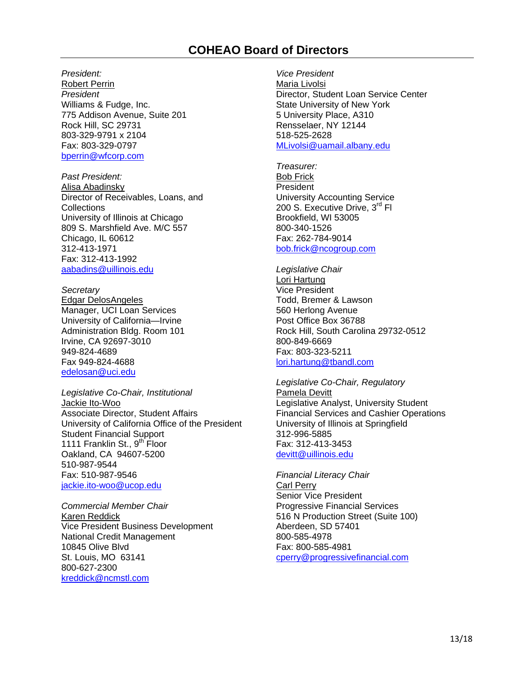## **COHEAO Board of Directors**

<span id="page-12-0"></span>*President:*

Robert Perrin *President* Williams & Fudge, Inc. 775 Addison Avenue, Suite 201 Rock Hill, SC 29731 803-329-9791 x 2104 Fax: 803-329-0797 [bperrin@wfcorp.com](mailto:bperrin@wfcorp.com)

*Past President:* Alisa Abadinsky Director of Receivables, Loans, and **Collections** University of Illinois at Chicago 809 S. Marshfield Ave. M/C 557 Chicago, IL 60612 312-413-1971 Fax: 312-413-1992 [aabadins@uillinois.edu](mailto:aabadins@uillinois.edu)

*Secretary* Edgar DelosAngeles Manager, UCI Loan Services University of California—Irvine Administration Bldg. Room 101 Irvine, CA 92697-3010 949-824-4689 Fax 949-824-4688 edelosan@uci.edu

*Legislative Co-Chair, Institutional*  Jackie Ito-Woo Associate Director, Student Affairs University of California Office of the President Student Financial Support 1111 Franklin St., 9<sup>th</sup> Floor Oakland, CA 94607-5200 510-987-9544 Fax: 510-987-9546 [jackie.ito-woo@ucop.edu](mailto:jackie.ito-woo@ucop.edu)

*Commercial Member Chair* Karen Reddick Vice President Business Development National Credit Management 10845 Olive Blvd St. Louis, MO 63141 800-627-2300 [kreddick@ncmstl.com](mailto:kreddick@ncmstl.com)

*Vice President*  Maria Livolsi Director, Student Loan Service Center State University of New York 5 University Place, A310 Rensselaer, NY 12144 518-525-2628 [MLivolsi@uamail.albany.edu](mailto:MLivolsi@uamail.albany.edu)

*Treasurer:* Bob Frick President University Accounting Service 200 S. Executive Drive, 3<sup>rd</sup> Fl Brookfield, WI 53005 800-340-1526 Fax: 262-784-9014 [bob.frick@ncogroup.com](mailto:bob.frick@ncogroup.com)

*Legislative Chair* Lori Hartung Vice President Todd, Bremer & Lawson 560 Herlong Avenue Post Office Box 36788 Rock Hill, South Carolina 29732-0512 800-849-6669 Fax: 803-323-5211 [lori.hartung@tbandl.com](mailto:lori.hartung@tbandl.com)

*Legislative Co-Chair, Regulatory*  Pamela Devitt Legislative Analyst, University Student Financial Services and Cashier Operations University of Illinois at Springfield 312-996-5885 Fax: 312-413-3453 [devitt@uillinois.edu](mailto:devitt@uillinois.edu)

*Financial Literacy Chair* Carl Perry Senior Vice President Progressive Financial Services 516 N Production Street (Suite 100) Aberdeen, SD 57401 800-585-4978 Fax: 800-585-4981 cperry@progressivefinancial.com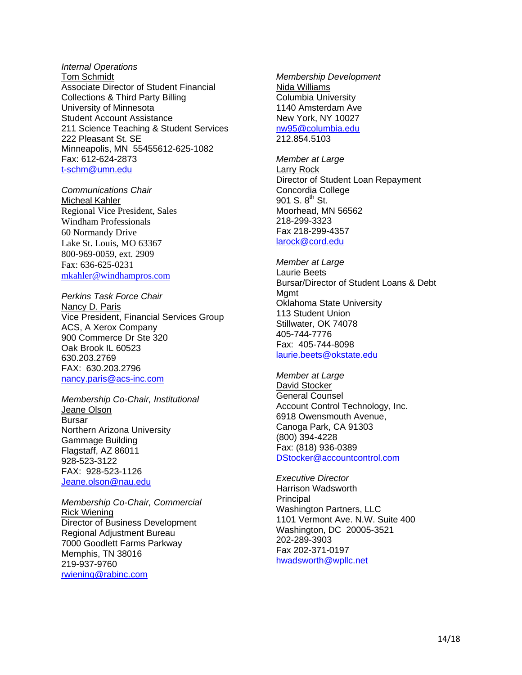#### *Internal Operations* Tom Schmidt Associate Director of Student Financial Collections & Third Party Billing University of Minnesota Student Account Assistance 211 Science Teaching & Student Services 222 Pleasant St. SE Minneapolis, MN 55455612-625-1082 Fax: 612-624-2873 [t-schm@umn.edu](mailto:t-schm@umn.edu)

*Communications Chair* Micheal Kahler Regional Vice President, Sales Windham Professionals 60 Normandy Drive Lake St. Louis, MO 63367 800-969-0059, ext. 2909 Fax: 636-625-0231 [mkahler@windhampros.com](mailto:mkahler@windhampros.com)

*Perkins Task Force Chair*  Nancy D. Paris Vice President, Financial Services Group ACS, A Xerox Company 900 Commerce Dr Ste 320 Oak Brook IL 60523 630.203.2769 FAX: 630.203.2796 [nancy.paris@acs-inc.com](mailto:nancy.paris@acs-inc.com)

*Membership Co-Chair, Institutional* Jeane Olson Bursar Northern Arizona University Gammage Building Flagstaff, AZ 86011 928-523-3122 FAX: 928-523-1126 [Jeane.olson@nau.edu](mailto:Jeane.olson@nau.edu)

*Membership Co-Chair, Commercial*  Rick Wiening Director of Business Development Regional Adjustment Bureau 7000 Goodlett Farms Parkway Memphis, TN 38016 219-937-9760 [rwiening@rabinc.com](mailto:rwiening@rabinc.com)

*Membership Development* Nida Williams Columbia University 1140 Amsterdam Ave New York, NY 10027 [nw95@columbia.edu](mailto:nw95@columbia.edu) 212.854.5103

*Member at Large* Larry Rock Director of Student Loan Repayment Concordia College  $901$  S.  $8^{th}$  St. Moorhead, MN 56562 218-299-3323 Fax 218-299-4357 [larock@cord.edu](mailto:larock@cord.edu) 

*Member at Large* Laurie Beets Bursar/Director of Student Loans & Debt Mamt Oklahoma State University 113 Student Union Stillwater, OK 74078 405-744-7776 Fax: 405-744-8098 [laurie.beets@okstate.edu](mailto:laurie.beets@okstate.edu)

*Member at Large* David Stocker General Counsel Account Control Technology, Inc. 6918 Owensmouth Avenue, Canoga Park, CA 91303 (800) 394-4228 Fax: (818) 936-0389 [DStocker@accountcontrol.com](mailto:DStocker@accountcontrol.com)

*Executive Director* Harrison Wadsworth Principal Washington Partners, LLC 1101 Vermont Ave. N.W. Suite 400 Washington, DC 20005-3521 202-289-3903 Fax 202-371-0197 hwadsworth@wpllc.net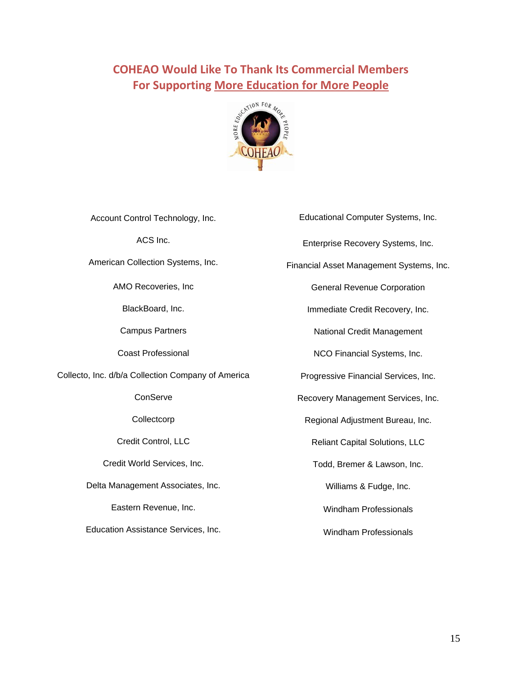# <span id="page-14-0"></span>**COHEAO Would Like To Thank Its Commercial Members For Supporting More Education for More People**



| Account Control Technology, Inc.                   | Educational Computer Systems, Inc.       |
|----------------------------------------------------|------------------------------------------|
| ACS Inc.                                           | Enterprise Recovery Systems, Inc.        |
| American Collection Systems, Inc.                  | Financial Asset Management Systems, Inc. |
| AMO Recoveries, Inc.                               | <b>General Revenue Corporation</b>       |
| BlackBoard, Inc.                                   | Immediate Credit Recovery, Inc.          |
| <b>Campus Partners</b>                             | National Credit Management               |
| <b>Coast Professional</b>                          | NCO Financial Systems, Inc.              |
| Collecto, Inc. d/b/a Collection Company of America | Progressive Financial Services, Inc.     |
| ConServe                                           | Recovery Management Services, Inc.       |
| Collectcorp                                        | Regional Adjustment Bureau, Inc.         |
| Credit Control, LLC                                | <b>Reliant Capital Solutions, LLC</b>    |
| Credit World Services, Inc.                        | Todd, Bremer & Lawson, Inc.              |
| Delta Management Associates, Inc.                  | Williams & Fudge, Inc.                   |
| Eastern Revenue, Inc.                              | <b>Windham Professionals</b>             |
| Education Assistance Services, Inc.                | <b>Windham Professionals</b>             |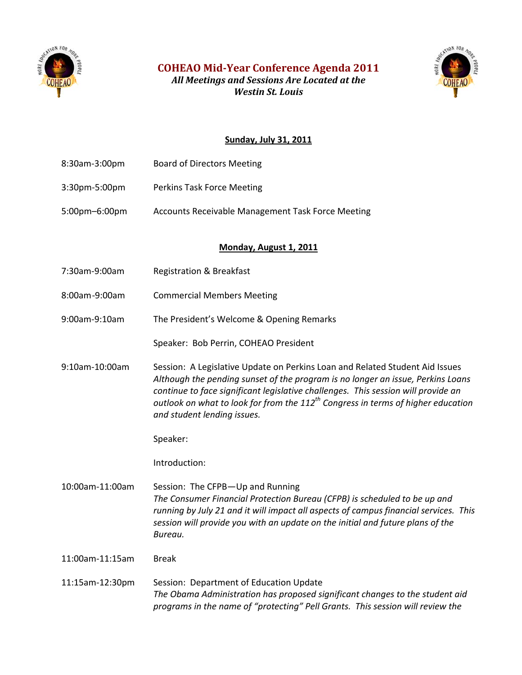<span id="page-15-0"></span>

**COHEAO Mid-Year Conference Agenda 2011**

*All Meetings and Sessions Are Located at the Westin St. Louis*



#### **Sunday, July 31, 2011**

8:30am-3:00pm Board of Directors Meeting 3:30pm-5:00pm Perkins Task Force Meeting 5:00pm–6:00pm Accounts Receivable Management Task Force Meeting **Monday, August 1, 2011** 7:30am-9:00am Registration & Breakfast 8:00am-9:00am Commercial Members Meeting 9:00am-9:10am The President's Welcome & Opening Remarks Speaker: Bob Perrin, COHEAO President 9:10am-10:00am Session: A Legislative Update on Perkins Loan and Related Student Aid Issues *Although the pending sunset of the program is no longer an issue, Perkins Loans continue to face significant legislative challenges. This session will provide an outlook on what to look for from the 112th Congress in terms of higher education and student lending issues.*  Speaker: Introduction: 10:00am-11:00am Session: The CFPB—Up and Running *The Consumer Financial Protection Bureau (CFPB) is scheduled to be up and running by July 21 and it will impact all aspects of campus financial services. This session will provide you with an update on the initial and future plans of the Bureau.*  11:00am-11:15am Break 11:15am-12:30pm Session: Department of Education Update *The Obama Administration has proposed significant changes to the student aid programs in the name of "protecting" Pell Grants. This session will review the*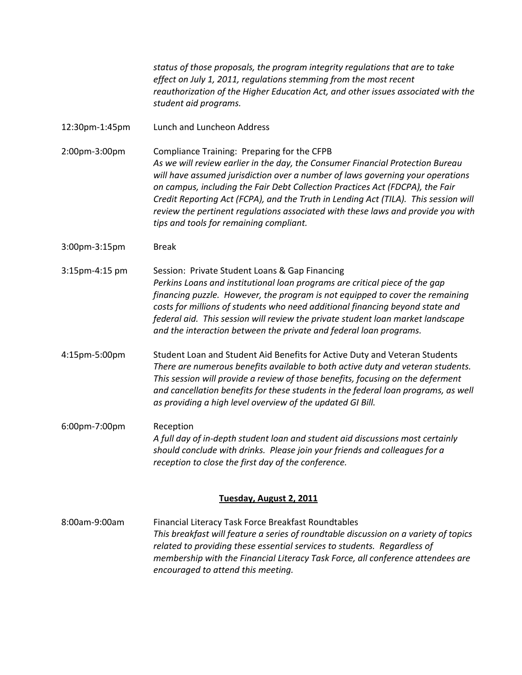*status of those proposals, the program integrity regulations that are to take effect on July 1, 2011, regulations stemming from the most recent reauthorization of the Higher Education Act, and other issues associated with the student aid programs.*

12:30pm-1:45pm Lunch and Luncheon Address

2:00pm-3:00pm Compliance Training: Preparing for the CFPB *As we will review earlier in the day, the Consumer Financial Protection Bureau will have assumed jurisdiction over a number of laws governing your operations on campus, including the Fair Debt Collection Practices Act (FDCPA), the Fair Credit Reporting Act (FCPA), and the Truth in Lending Act (TILA). This session will review the pertinent regulations associated with these laws and provide you with tips and tools for remaining compliant.* 

- 3:00pm-3:15pm Break
- 3:15pm-4:15 pm Session: Private Student Loans & Gap Financing *Perkins Loans and institutional loan programs are critical piece of the gap financing puzzle. However, the program is not equipped to cover the remaining costs for millions of students who need additional financing beyond state and federal aid. This session will review the private student loan market landscape and the interaction between the private and federal loan programs.*
- 4:15pm-5:00pm Student Loan and Student Aid Benefits for Active Duty and Veteran Students *There are numerous benefits available to both active duty and veteran students. This session will provide a review of those benefits, focusing on the deferment and cancellation benefits for these students in the federal loan programs, as well as providing a high level overview of the updated GI Bill.*
- 6:00pm-7:00pm Reception *A full day of in-depth student loan and student aid discussions most certainly should conclude with drinks. Please join your friends and colleagues for a reception to close the first day of the conference.*

#### **Tuesday, August 2, 2011**

8:00am-9:00am Financial Literacy Task Force Breakfast Roundtables *This breakfast will feature a series of roundtable discussion on a variety of topics related to providing these essential services to students. Regardless of membership with the Financial Literacy Task Force, all conference attendees are encouraged to attend this meeting.*